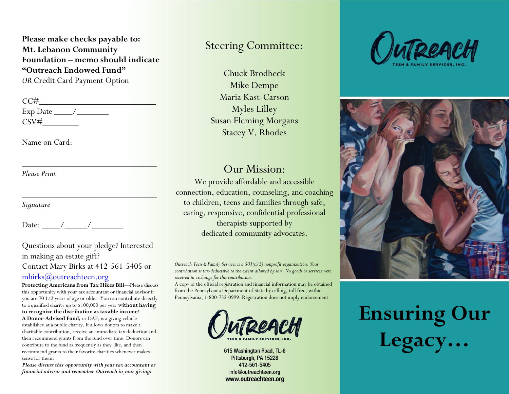**Please make checks payable to: Mt. Lebanon Community Foundation – memo should indicate "Outreach Endowed Fund"**  *OR* Credit Card Payment Option

| CC#      |  |
|----------|--|
| Exp Date |  |
| CSV#     |  |

Name on Card:

*Please Print*

*Signature*

Date: / /

Questions about your pledge? Interested in making an estate gift? Contact Mary Birks at 412-561-5405 or [mbirks@outreachteen.org](mailto:mbirks@outreachteen.org)

\_\_\_\_\_\_\_\_\_\_\_\_\_\_\_\_\_\_\_\_\_\_\_\_\_\_\_\_\_\_

 $\overline{\phantom{a}}$  ,  $\overline{\phantom{a}}$  ,  $\overline{\phantom{a}}$  ,  $\overline{\phantom{a}}$  ,  $\overline{\phantom{a}}$  ,  $\overline{\phantom{a}}$  ,  $\overline{\phantom{a}}$  ,  $\overline{\phantom{a}}$  ,  $\overline{\phantom{a}}$  ,  $\overline{\phantom{a}}$  ,  $\overline{\phantom{a}}$  ,  $\overline{\phantom{a}}$  ,  $\overline{\phantom{a}}$  ,  $\overline{\phantom{a}}$  ,  $\overline{\phantom{a}}$  ,  $\overline{\phantom{a}}$ 

**Protecting Americans from Tax Hikes Bill**—Please discuss this opportunity with your tax accountant or financial advisor if you are 70 1/2 years of age or older. You can contribute directly to a qualified charity up to \$100,000 per year **without having to recognize the distribution as taxable income**! **A Donor-Advised Fund***,* or DAF, is a giving vehicle established at a public charity. It allows donors to make a charitable contribution, receive an immediate [tax deduction](https://www.nptrust.org/what-is-a-donor-advised-fund/daf-tax-consideration/) and then recommend grants from the fund over time. Donors can contribute to the fund as frequently as they like, and then recommend grants to their favorite charities whenever makes sense for them.

*Please discuss this opportunity with your tax accountant or financial advisor and remember Outreach in your giving!*

### Steering Committee:

Chuck Brodbeck Mike Dempe Maria Kast-Carson Myles Lilley Susan Fleming Morgans Stacey V. Rhodes

#### Our Mission:

We provide affordable and accessible connection, education, counseling, and coaching to children, teens and families through safe, caring, responsive, confidential professional therapists supported by dedicated community advocates.

*Outreach Teen & Family Services is a 501(c)(3) nonprofit organization. Your contribution is tax-deductible to the extent allowed by law. No goods or services were received in exchange for this contribution.*

A copy of the official registration and financial information may be obtained from the Pennsylvania Department of State by calling, toll free, within Pennsylvania, 1-800-732-0999. Registration does not imply endorsement.



615 Washington Road, TL-6 Pittsburgh, PA 15228 412-561-5405 info@outreachteen.org www.outreachteen.org





# **Ensuring Our Legacy…**